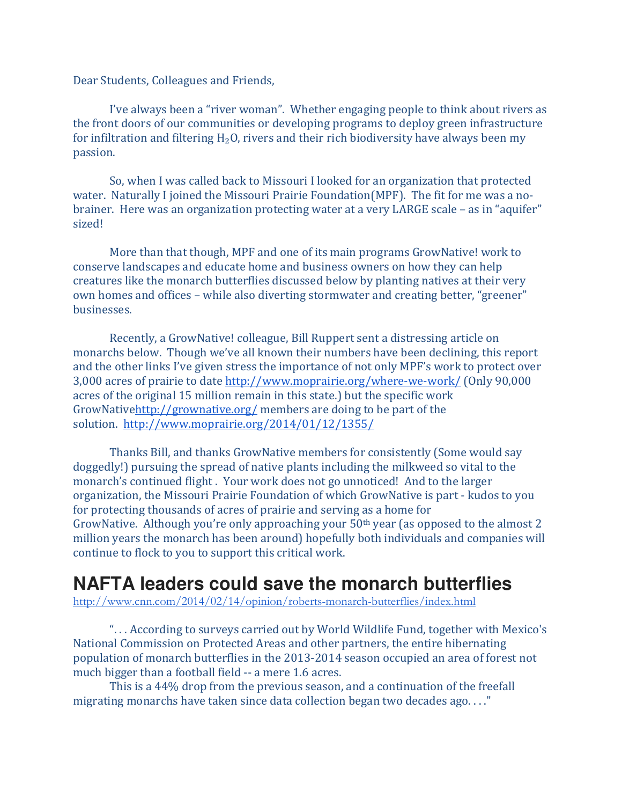Dear Students, Colleagues and Friends,

I've always been a "river woman". Whether engaging people to think about rivers as the front doors of our communities or developing programs to deploy green infrastructure for infiltration and filtering  $H_2O$ , rivers and their rich biodiversity have always been my passion.

So, when I was called back to Missouri I looked for an organization that protected water. Naturally I joined the Missouri Prairie Foundation(MPF). The fit for me was a nobrainer. Here was an organization protecting water at a very LARGE scale – as in "aquifer" sized!

More than that though, MPF and one of its main programs GrowNative! work to conserve landscapes and educate home and business owners on how they can help creatures like the monarch butterflies discussed below by planting natives at their very own homes and offices – while also diverting stormwater and creating better, "greener" businesses.

Recently, a GrowNative! colleague, Bill Ruppert sent a distressing article on monarchs below. Though we've all known their numbers have been declining, this report and the other links I've given stress the importance of not only MPF's work to protect over 3,000 acres of prairie to date http://www.moprairie.org/where-we-work/ (Only 90,000 acres of the original 15 million remain in this state.) but the specific work GrowNativehttp://grownative.org/ members are doing to be part of the solution. http://www.moprairie.org/2014/01/12/1355/

Thanks Bill, and thanks GrowNative members for consistently (Some would say doggedly!) pursuing the spread of native plants including the milkweed so vital to the monarch's continued flight . Your work does not go unnoticed! And to the larger organization, the Missouri Prairie Foundation of which GrowNative is part - kudos to you for protecting thousands of acres of prairie and serving as a home for GrowNative. Although you're only approaching your 50<sup>th</sup> year (as opposed to the almost 2 million years the monarch has been around) hopefully both individuals and companies will continue to flock to you to support this critical work.

## **NAFTA leaders could save the monarch butterflies**

http://www.cnn.com/2014/02/14/opinion/roberts-monarch-butterflies/index.html

". . . According to surveys carried out by World Wildlife Fund, together with Mexico's National Commission on Protected Areas and other partners, the entire hibernating population of monarch butterflies in the 2013-2014 season occupied an area of forest not much bigger than a football field -- a mere 1.6 acres.

This is a 44% drop from the previous season, and a continuation of the freefall migrating monarchs have taken since data collection began two decades ago. . . ."